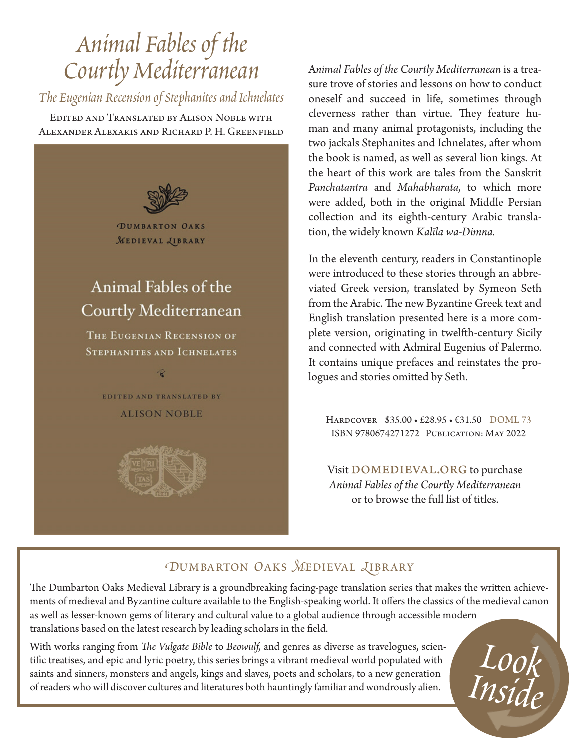# *Animal Fables of the Courtly Mediterranean*

*The Eugenian Recension of Stephanites and Ichnelates*

Edited and Translated by Alison Noble with Alexander Alexakis and Richard P. H. Greenfield



A*nimal Fables of the Courtly Mediterranean* is a treasure trove of stories and lessons on how to conduct oneself and succeed in life, sometimes through cleverness rather than virtue. They feature human and many animal protagonists, including the two jackals Stephanites and Ichnelates, after whom the book is named, as well as several lion kings. At the heart of this work are tales from the Sanskrit *Panchatantra* and *Mahabharata,* to which more were added, both in the original Middle Persian collection and its eighth-century Arabic translation, the widely known *Kalīla wa-Dimna.*

In the eleventh century, readers in Constantinople were introduced to these stories through an abbreviated Greek version, translated by Symeon Seth from the Arabic. The new Byzantine Greek text and English translation presented here is a more complete version, originating in twelfth-century Sicily and connected with Admiral Eugenius of Palermo. It contains unique prefaces and reinstates the prologues and stories omitted by Seth.

Hardcover \$35.00 • £28.95 • €31.50 DOML 73 ISBN 9780674271272 Publication: May 2022

Visit DOMEDIEVAL.ORG to purchase *Animal Fables of the Courtly Mediterranean* or to browse the full list of titles.

### *DUMBARTON OAKS MEDIEVAL LIBRARY*

The Dumbarton Oaks Medieval Library is a groundbreaking facing-page translation series that makes the written achievements of medieval and Byzantine culture available to the English-speaking world. It offers the classics of the medieval canon as well as lesser-known gems of literary and cultural value to a global audience through accessible modern translations based on the latest research by leading scholars in the field.

With works ranging from *The Vulgate Bible* to *Beowulf,* and genres as diverse as travelogues, scientific treatises, and epic and lyric poetry, this series brings a vibrant medieval world populated with saints and sinners, monsters and angels, kings and slaves, poets and scholars, to a new generation of readers who will discover cultures and literatures both hauntingly familiar and wondrously alien.

*Look Inside*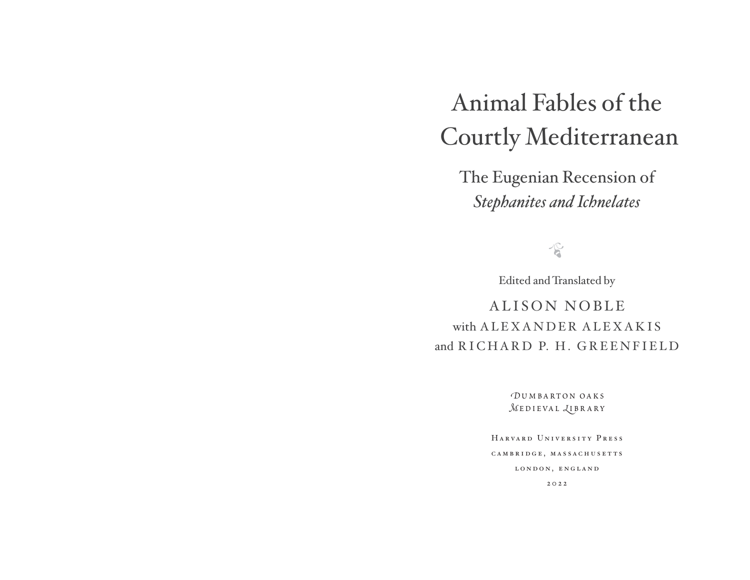# Animal Fables of the Courtly Mediterranean

The Eugenian Recension of *Stephanites and Ichnelates*

 $\sqrt{C}$ 

Edited and Translated by

ALISON NOBLEwith A L E X A N D E R A L E X A K I S and RICHARD P. H. GREENFIELD

> *D*umbarton oaks*M***EDIEVAL** *<u>LIBRARY</u>*

HarvardUniversityPress CAMBRIDGE, MASSACHUSETTS LONDON, ENGLAND

2022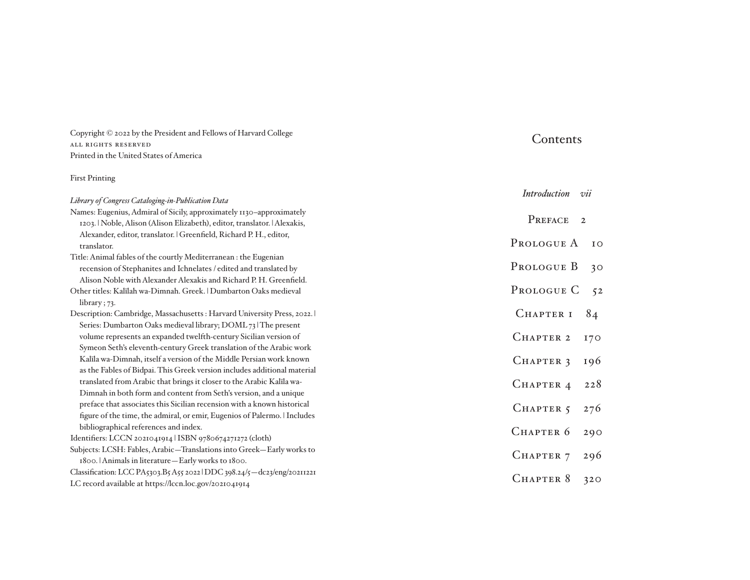Copyright © 2022 by the President and Fellows of Harvard College all rights reserved Printed in the United States of America

### First Printing

| Library of Congress Cataloging-in-Publication Data                                 | vii<br><i>Introduction</i> |
|------------------------------------------------------------------------------------|----------------------------|
| Names: Eugenius, Admiral of Sicily, approximately 1130-approximately               |                            |
| 1203.   Noble, Alison (Alison Elizabeth), editor, translator.   Alexakis,          | PREFACE<br>$\overline{2}$  |
| Alexander, editor, translator.   Greenfield, Richard P. H., editor,<br>translator. | PROLOGUE A<br>IO           |
| Title: Animal fables of the courtly Mediterranean : the Eugenian                   |                            |
| recension of Stephanites and Ichnelates / edited and translated by                 | PROLOGUE B<br>30           |
| Alison Noble with Alexander Alexakis and Richard P. H. Greenfield.                 |                            |
| Other titles: Kalīlah wa-Dimnah. Greek.   Dumbarton Oaks medieval                  | PROLOGUE C<br>52           |
| library; $73$ .                                                                    |                            |
| Description: Cambridge, Massachusetts: Harvard University Press, 2022.             | CHAPTER I<br>84            |
| Series: Dumbarton Oaks medieval library; DOML 73   The present                     |                            |
| volume represents an expanded twelfth-century Sicilian version of                  | CHAPTER 2<br><b>170</b>    |
| Symeon Seth's eleventh-century Greek translation of the Arabic work                |                            |
| Kalīla wa-Dimnah, itself a version of the Middle Persian work known                | CHAPTER 3<br>196           |
| as the Fables of Bidpai. This Greek version includes additional material           |                            |
| translated from Arabic that brings it closer to the Arabic Kalīla wa-              | CHAPTER 4<br>228           |
| Dimnah in both form and content from Seth's version, and a unique                  |                            |
| preface that associates this Sicilian recension with a known historical            | CHAPTER 5<br>276           |
| figure of the time, the admiral, or emir, Eugenios of Palermo. I Includes          |                            |
| bibliographical references and index.                                              | CHAPTER 6<br>290           |
| Identifiers: LCCN 2021041914   ISBN 9780674271272 (cloth)                          |                            |
| Subjects: LCSH: Fables, Arabic-Translations into Greek-Early works to              | CHAPTER 7<br>296           |
| 1800. Animals in literature - Early works to 1800.                                 |                            |
| Classification: LCC PA5303.B5 A55 2022   DDC 398.24/5 - dc23/eng/20211221          | CHAPTER 8<br>320           |
| LC record available at https://lccn.loc.gov/2021041914                             |                            |

Contents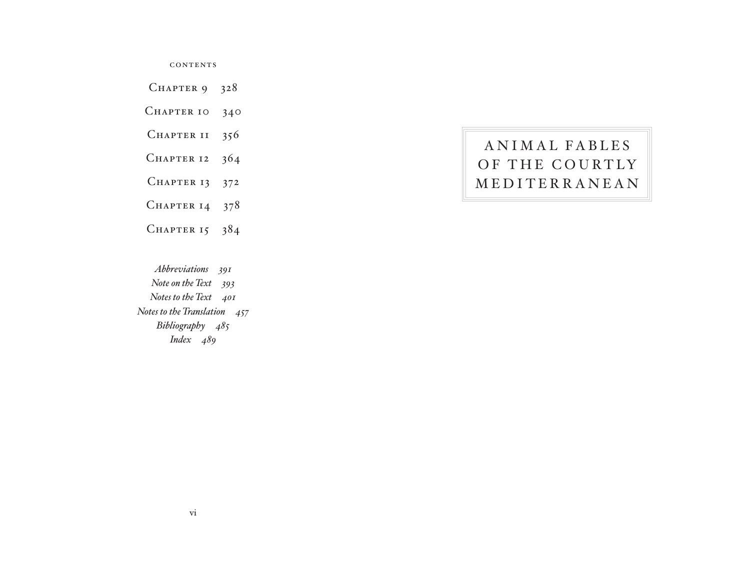**CONTENTS** 

CHAPTER  $9$  328

CHAPTER 10 340

CHAPTER II 356

CHAPTER 12  $364$ 

CHAPTER 13 372

CHAPTER 14  $378$ 

CHAPTER  $15$  384

*Abbreviations-391 Note on the Text-393 Notes to the Text-401 Notes to the Translation-457 Bibliography-485 Index-489*

## ANIMAL FABLES OF THE COURTLY MEDITERRANEAN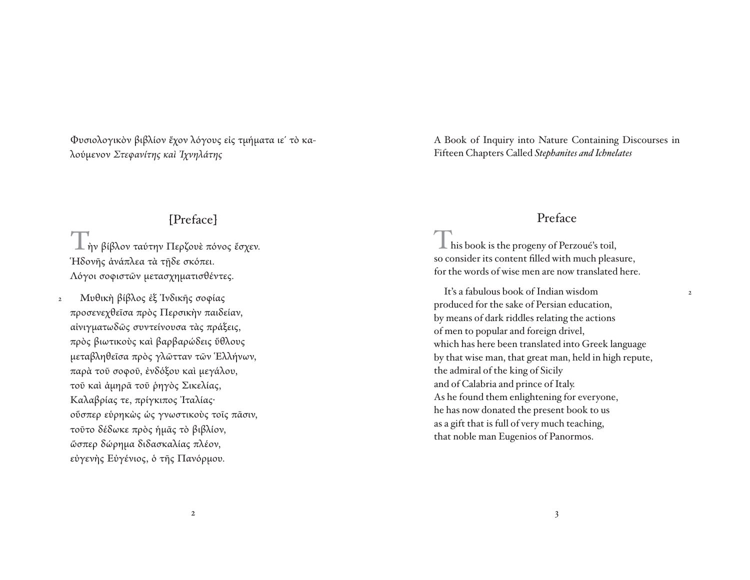Φυσιολογικὸν βιβλίον ἔχον λόγους εἰς τμήματα ιε΄ τὸ καλούμενον *Στεφανίτης καὶ Ἰχνηλάτης*

### [Preface]

Τὴν βίβλον ταύτην Περζουὲ πόνος ἔσχεν. Ἡδονῆς ἀνάπλεα τὰ τῇδε σκόπει. Λόγοι σοφιστῶν μετασχηματισθέντες.

 Μυθικὴ βίβλος ἐξ Ἰνδικῆς σοφίας προσενεχθεῖσα πρὸς Περσικὴν παιδείαν, αἰνιγματωδῶς συντείνουσα τὰς πράξεις, πρὸς βιωτικοὺς καὶ βαρβαρώδεις ὕθλους μεταβληθεῖσα πρὸς γλῶτταν τῶν Ἑλλήνων, παρὰ τοῦ σοφοῦ, ἐνδόξου καὶ μεγάλου, τοῦ καὶ ἀμηρᾶ τοῦ ῥηγὸς Σικελίας, Καλαβρίας τε, πρίγκιπος Ἰταλίας· οὕσπερ εὑρηκὼς ὡς γνωστικοὺς τοῖς πᾶσιν, τοῦτο δέδωκε πρὸς ἡμᾶς τὸ βιβλίον, ὥσπερ δώρημα διδασκαλίας πλέον, εὐγενὴς Εὐγένιος, ὁ τῆς Πανόρμου. 2

A Book of Inquiry into Nature Containing Discourses in Fifteen Chapters Called *Stephanites and Ichnelates* 

### Preface

2

 $\perp$  his book is the progeny of Perzoué's toil, so consider its content filled with much pleasure, for the words of wise men are now translated here.

 It's a fabulous book of Indian wisdomproduced for the sake of Persian education, by means of dark riddles relating the actions of men to popular and foreign drivel, which has here been translated into Greek language by that wise man, that great man, held in high repute, the admiral of the king of Sicily and of Calabria and prince of Italy. As he found them enlightening for everyone, he has now donated the present book to us as a gift that is full of very much teaching, that noble man Eugenios of Panormos.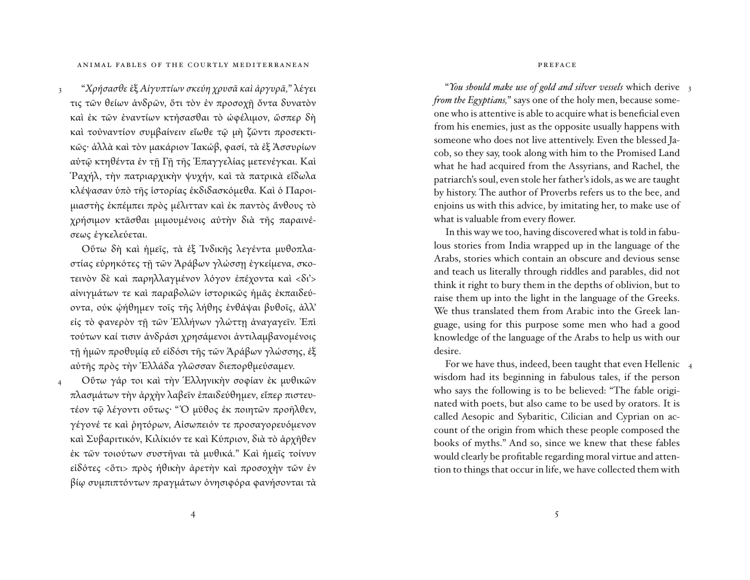ANIMAL FABLES OF THE COURTLY MEDITERRANEAN

 "*Χρήσασθε* ἐξ *Αἰγυπτίων σκεύη χρυσᾶ καὶ ἀργυρᾶ,*" λέγει τις τῶν θείων ἀνδρῶν, ὅτι τὸν ἐν προσοχῇ ὄντα δυνατὸν και έκ τῶν ἐναντίων κτήσασθαι τὸ ώφέλιμον, ὥσπερ δὴ καὶ τοὐναντίον συμβαίνειν εἴωθε τῷ μὴ ζῶντι προσεκτικῶς· ἀλλὰ καὶ τὸν μακάριον Ἰακώβ, φασί, τὰ ἐξ Ἀσσυρίων αὐτῷ κτηθέντα ἐν τῇ Γῇ τῆς Ἐπαγγελίας μετενέγκαι. Καὶ Ῥαχήλ, τὴν πατριαρχικὴν ψυχήν, καὶ τὰ πατρικὰ εἴδωλα κλέψασαν ὑπὸ τῆς ἱστορίας ἐκδιδασκόμεθα. Καὶ ὁ Παροιμιαστὴς ἐκπέμπει πρὸς μέλιτταν καὶ ἐκ παντὸς ἄνθους τὸ χρήσιμον κτᾶσθαι μιμουμένοις αὐτὴν διὰ τῆς παραινέσεως ἐγκελεύεται. 3

 Οὕτω δὴ καὶ ἡμεῖς, τὰ ἐξ Ἰνδικῆς λεγέντα μυθοπλαστίας εὑρηκότες τῇ τῶν Ἀράβων γλώσσῃ ἐγκείμενα, σκοτεινὸν δὲ καὶ παρηλλαγμένον λόγον ἐπέχοντα καὶ <δι'> αἰνιγμάτων τε καὶ παραβολῶν ἱστορικῶς ἡμᾶς ἐκπαιδεύοντα, οὐκ ᾠήθημεν τοῖς τῆς λήθης ἐνθάψαι βυθοῖς, ἀλλ' εἰς τὸ φανερὸν τῇ τῶν Ἑλλήνων γλώττῃ ἀναγαγεῖν. Ἐπὶ τούτων καί τισιν ἀνδράσι χρησάμενοι ἀντιλαμβανομένοις τῇ ἡμῶν προθυμίᾳ εὖ εἰδόσι τῆς τῶν Ἀράβων γλώσσης, ἐξ αὐτῆς πρὸς τὴν Ἑλλάδα γλῶσσαν διεπορθμεύσαμεν.

 Οὕτω γάρ τοι καὶ τὴν Ἑλληνικὴν σοφίαν ἐκ μυθικῶν πλασμάτων τὴν ἀρχὴν λαβεῖν ἐπαιδεύθημεν, εἴπερ πιστευτέον τῷ λέγοντι οὕτως· " Ὁ μῦθος ἐκ ποιητῶν προῆλθεν, γέγονέ τε καὶ ῥητόρων, Αἰσωπειόν τε προσαγορευόμενον καὶ Συβαριτικόν, Κιλίκιόν τε καὶ Κύπριον, διὰ τὸ ἀρχῆθεν ἐκ τῶν τοιούτων συστῆναι τὰ μυθικά." Καὶ ἡμεῖς τοίνυν εἰδότες <ὅτι> πρὸς ἠθικὴν ἀρετὴν καὶ προσοχὴν τῶν ἐν βίῳ συμπιπτόντων πραγμάτων ὀνησιφόρα φανήσονται τὰ 4

preface

 "*You should make use of gold and silver vessels* which derive 3 *from the Egyptians,*" says one of the holy men, because someone who is attentive is able to acquire what is beneficial even from his enemies, just as the opposite usually happens with someone who does not live attentively. Even the blessed Jacob, so they say, took along with him to the Promised Land what he had acquired from the Assyrians, and Rachel, the patriarch's soul, even stole her father's idols, as we are taught by history. The author of Proverbs refers us to the bee, and enjoins us with this advice, by imitating her, to make use of what is valuable from every flower.

 In this way we too, having discovered what is told in fabulous stories from India wrapped up in the language of the Arabs, stories which contain an obscure and devious sense and teach us literally through riddles and parables, did not think it right to bury them in the depths of oblivion, but to raise them up into the light in the language of the Greeks. We thus translated them from Arabic into the Greek language, using for this purpose some men who had a good knowledge of the language of the Arabs to help us with our desire.

 For we have thus, indeed, been taught that even Hellenic 4wisdom had its beginning in fabulous tales, if the person who says the following is to be believed: "The fable originated with poets, but also came to be used by orators. It is called Aesopic and Sybaritic, Cilician and Cyprian on account of the origin from which these people composed the books of myths." And so, since we knew that these fables would clearly be profitable regarding moral virtue and attention to things that occur in life, we have collected them with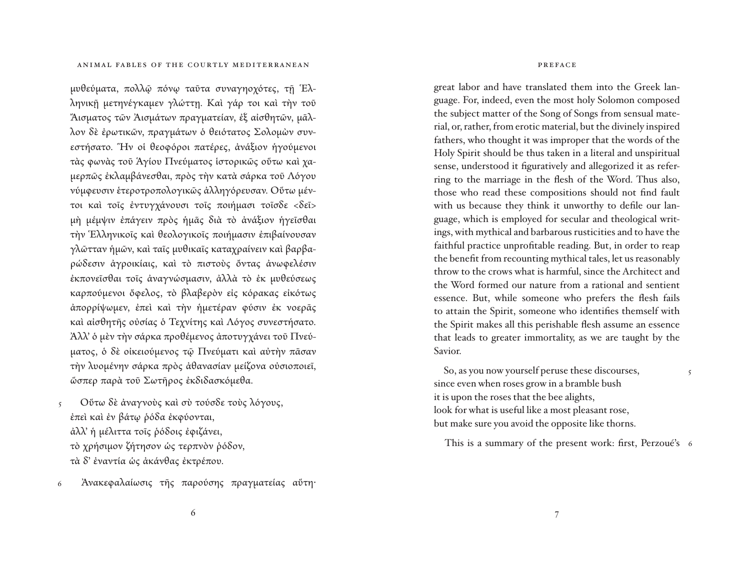μυθεύματα, πολλῷ πόνῳ ταῦτα συναγηοχότες, τῇ Ἑλληνικῇ μετηνέγκαμεν γλώττῃ. Καὶ γάρ τοι καὶ τὴν τοῦ Ἄισματος τῶν Ἀισμάτων πραγματείαν, ἐξ αἰσθητῶν, μᾶλλον δὲ ἐρωτικῶν, πραγμάτων ὁ θειότατος Σολομὼν συνεστήσατο. Ἣν οἱ θεοφόροι πατέρες, ἀνάξιον ἡγούμενοι τὰς φωνὰς τοῦ Ἁγίου Πνεύματος ἱστορικῶς οὕτω καὶ χαμερπῶς ἐκλαμβάνεσθαι, πρὸς τὴν κατὰ σάρκα τοῦ Λόγου νύμφευσιν ἑτεροτροπολογικῶς ἀλληγόρευσαν. Οὕτω μέντοι καὶ τοῖς ἐντυγχάνουσι τοῖς ποιήμασι τοῖσδε <δεῖ> μὴ <sup>μ</sup>έμψιν ἐπάγειν πρὸς ἡμᾶς διὰ τὸ ἀνάξιον ἡγεῖσθαι τὴν Ἑλληνικοῖς καὶ θεολογικοῖς ποιήμασιν ἐπιβαίνουσαν γλῶτ ταν ἡμῶν, καὶ ταῖς μυθικαῖς καταχραίνειν καὶ βαρβαρώδεσιν ἀγροικίαις, καὶ τὸ πιστοὺς ὄντας ἀνωφελέσιν ἐκπονεῖσθαι τοῖς ἀναγνώσμασιν, ἀλλὰ τὸ ἐκ μυθεύσεως καρπούμενοι ὄφελος, τὸ βλαβερὸν εἰς κόρακας εἰκότως ἀπορρίψωμεν, ἐπεὶ καὶ τὴν ἡμετέραν φύσιν ἐκ νοερᾶς καὶ αἰσθητῆς οὐσίας ὁ Τεχνίτης καὶ Λόγος συνεστήσατο. Ἀλλ' ὁ μὲν τὴν σάρκα προθέμενος ἀποτυγχάνει τοῦ Πνεύματος, ὁ δὲ οἰκειούμενος τῷ Πνεύματι καὶ αὐτὴν πᾶσαν τὴν λυομένην σάρκα πρὸς ἀθανασίαν μείζονα οὐσιοποιεῖ, ὥσπερ παρὰ τοῦ Σωτῆρος ἐκδιδασκόμεθα.

 Οὕτω δὲ ἀναγνοὺς καὶ σὺ τούσδε τοὺς λόγους, ἐπεὶ καὶ ἐν βάτῳ ῥόδα ἐκφύονται, ἀλλ' ἡ μέλιττα τοῖς ῥόδοις ἐφιζάνει, τὸ χρήσιμον ζήτησον ὡς τερπνὸν ῥόδον, τὰ δ' ἐναντία ὡς ἀκάνθας ἐκτρέπου. 5

 Ἀνακεφαλαίωσις τῆς παρούσης πραγματείας αὕτη· 6

#### preface

great labor and have translated them into the Greek language. For, indeed, even the most holy Solomon composed the subject matter of the Song of Songs from sensual material, or, rather, from erotic material, but the divinely inspired fathers, who thought it was improper that the words of the Holy Spirit should be thus taken in a literal and unspiritual sense, understood it figuratively and allegorized it as referring to the marriage in the flesh of the Word. Thus also, those who read these compositions should not find fault with us because they think it unworthy to defile our language, which is employed for secular and theological writings, with mythical and barbarous rusticities and to have the faithful practice unprofitable reading. But, in order to reap the benefit from recounting mythical tales, let us reasonably throw to the crows what is harmful, since the Architect and the Word formed our nature from a rational and sentient essence. But, while someone who prefers the flesh fails to attain the Spirit, someone who identifies themself with the Spirit makes all this perishable flesh assume an essence that leads to greater immortality, as we are taught by the Savior.

 So, as you now yourself peruse these discourses, since even when roses grow in a bramble bush it is upon the roses that the bee alights, look for what is useful like a most pleasant rose, but make sure you avoid the opposite like thorns.

This is a summary of the present work: first, Perzoué's 6

5

6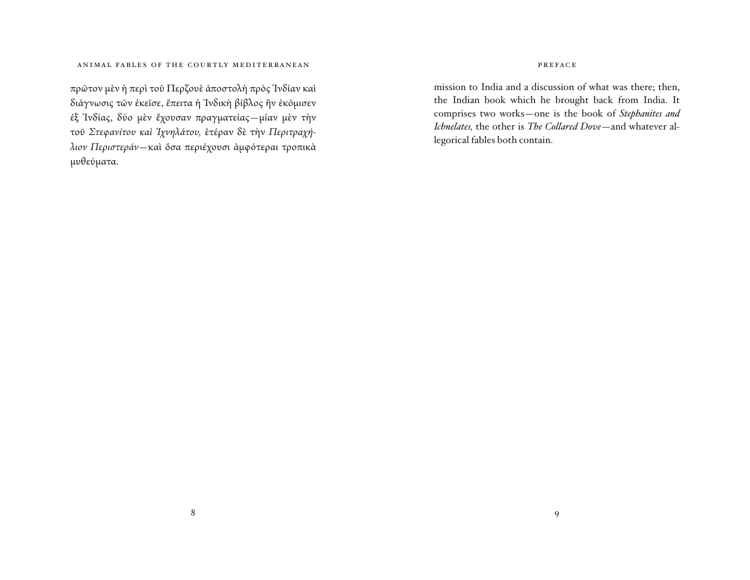πρῶτον μὲν ἡ περὶ τοῦ Περζουὲ ἀποστολὴ πρὸς Ἰνδίαν καὶ διάγνωσις τῶν ἐκεῖσε, ἔπειτα ἡ Ἰνδικὴ βίβλος ἣν ἐκόμισεν ἐξ Ἰνδίας, δύο μὲν ἔχουσαν πραγματείας—μίαν μὲν τὴν τοῦ *Στεφανίτου καὶ Ἰχνηλάτου,* ἑτέραν δὲ τὴν *Περιτραχήλιον Περιστεράν—*καὶ ὅσα περιέχουσι ἀμφότεραι τροπικὰ μυθεύματα.

#### preface

mission to India and a discussion of what was there; then, the Indian book which he brought back from India. It comprises two works—one is the book of *Stephanites and Ichnelates,* the other is *The Collared Dove*—and whatever allegorical fables both contain.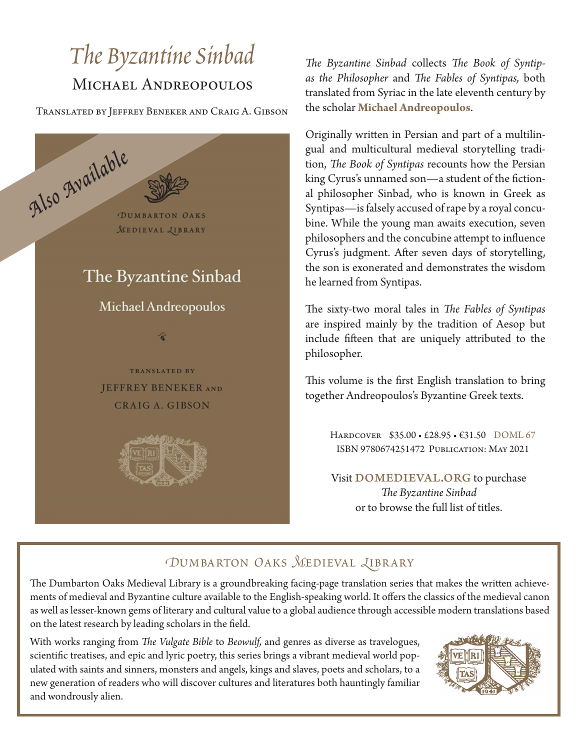## *The Byzantine Sinbad* MICHAEL ANDREOPOULOS

Translated by Jeffrey Beneker and Craig A. Gibson



*The Byzantine Sinbad* collects *The Book of Syntipas the Philosopher* and *The Fables of Syntipas,* both translated from Syriac in the late eleventh century by the scholar **Michael Andreopoulos**.

Originally written in Persian and part of a multilingual and multicultural medieval storytelling tradition, *The Book of Syntipas* recounts how the Persian king Cyrus's unnamed son—a student of the fictional philosopher Sinbad, who is known in Greek as Syntipas—is falsely accused of rape by a royal concubine. While the young man awaits execution, seven philosophers and the concubine attempt to influence Cyrus's judgment. After seven days of storytelling, the son is exonerated and demonstrates the wisdom he learned from Syntipas.

The sixty-two moral tales in *The Fables of Syntipas*  are inspired mainly by the tradition of Aesop but include fifteen that are uniquely attributed to the philosopher.

This volume is the first English translation to bring together Andreopoulos's Byzantine Greek texts.

Hardcover \$35.00 • £28.95 • €31.50 DOML 67 ISBN 9780674251472 Publication: May 2021

Visit DOMEDIEVAL.ORG to purchase *The Byzantine Sinbad* or to browse the full list of titles.

## *OUMBARTON OAKS MEDIEVAL LIBRARY*

The Dumbarton Oaks Medieval Library is a groundbreaking facing-page translation series that makes the written achievements of medieval and Byzantine culture available to the English-speaking world. It offers the classics of the medieval canon as well as lesser-known gems of literary and cultural value to a global audience through accessible modern translations based on the latest research by leading scholars in the field.

With works ranging from *The Vulgate Bible* to *Beowulf,* and genres as diverse as travelogues, scientific treatises, and epic and lyric poetry, this series brings a vibrant medieval world populated with saints and sinners, monsters and angels, kings and slaves, poets and scholars, to a new generation of readers who will discover cultures and literatures both hauntingly familiar and wondrously alien.